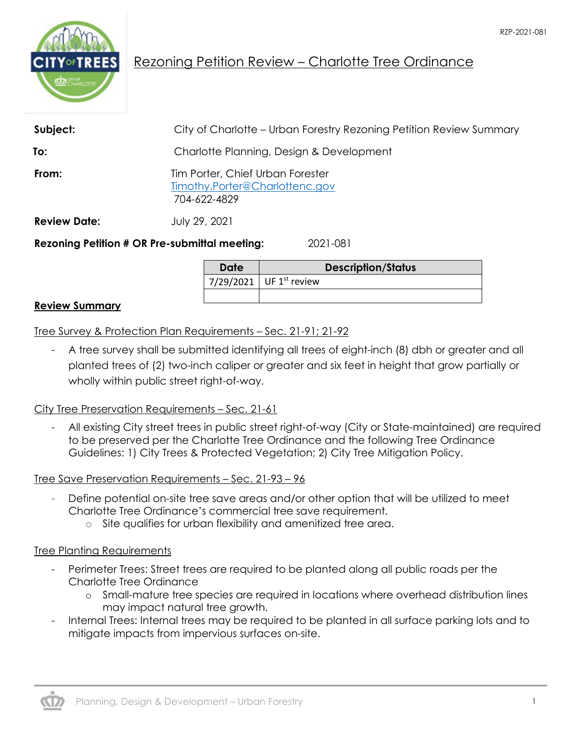

## Rezoning Petition Review – Charlotte Tree Ordinance

| Subject:            | City of Charlotte – Urban Forestry Rezoning Petition Review Summary                |
|---------------------|------------------------------------------------------------------------------------|
| To:                 | Charlotte Planning, Design & Development                                           |
| From:               | Tim Porter, Chief Urban Forester<br>Timothy.Porter@Charlottenc.gov<br>704-622-4829 |
| <b>Review Date:</b> | July 29, 2021                                                                      |
|                     | <b>Rezoning Petition # OR Pre-submittal meeting:</b><br>2021-081                   |

**Date Description/Status** 7/29/2021 UF  $1^{st}$  review

## **Review Summary**

Tree Survey & Protection Plan Requirements – Sec. 21-91; 21-92

- A tree survey shall be submitted identifying all trees of eight-inch (8) dbh or greater and all planted trees of (2) two-inch caliper or greater and six feet in height that grow partially or wholly within public street right-of-way.

## City Tree Preservation Requirements – Sec. 21-61

- All existing City street trees in public street right-of-way (City or State-maintained) are required to be preserved per the Charlotte Tree Ordinance and the following Tree Ordinance Guidelines: 1) City Trees & Protected Vegetation; 2) City Tree Mitigation Policy.

Tree Save Preservation Requirements – Sec. 21-93 – 96

- Define potential on-site tree save areas and/or other option that will be utilized to meet Charlotte Tree Ordinance's commercial tree save requirement.
	- o Site qualifies for urban flexibility and amenitized tree area.

## Tree Planting Requirements

- Perimeter Trees: Street trees are required to be planted along all public roads per the Charlotte Tree Ordinance
	- o Small-mature tree species are required in locations where overhead distribution lines may impact natural tree growth.
- Internal Trees: Internal trees may be required to be planted in all surface parking lots and to mitigate impacts from impervious surfaces on-site.